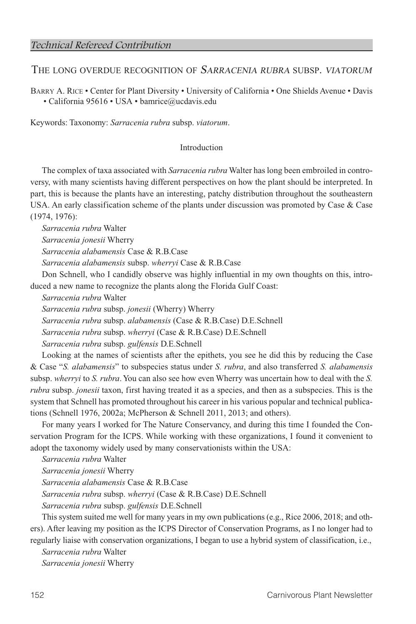# THE LONG OVERDUE RECOGNITION OF SARRACENIA RUBRA SUBSP. VIATORUM

Barry A. Rice • Center for Plant Diversity • University of California • One Shields Avenue • Davis • California 95616 • USA • bamrice@ucdavis.edu

Keywords: Taxonomy: *Sarracenia rubra* subsp. *viatorum*.

## Introduction

The complex of taxa associated with *Sarracenia rubra* Walter has long been embroiled in controversy, with many scientists having different perspectives on how the plant should be interpreted. In part, this is because the plants have an interesting, patchy distribution throughout the southeastern USA. An early classification scheme of the plants under discussion was promoted by Case & Case (1974, 1976):

*Sarracenia rubra* Walter

*Sarracenia jonesii* Wherry

*Sarracenia alabamensis* Case & R.B.Case

*Sarracenia alabamensis* subsp. *wherryi* Case & R.B.Case

Don Schnell, who I candidly observe was highly influential in my own thoughts on this, introduced a new name to recognize the plants along the Florida Gulf Coast:

*Sarracenia rubra* Walter

*Sarracenia rubra* subsp. *jonesii* (Wherry) Wherry

*Sarracenia rubra* subsp. *alabamensis* (Case & R.B.Case) D.E.Schnell

*Sarracenia rubra* subsp. *wherryi* (Case & R.B.Case) D.E.Schnell

*Sarracenia rubra* subsp. *gulfensis* D.E.Schnell

Looking at the names of scientists after the epithets, you see he did this by reducing the Case & Case "*S. alabamensis*" to subspecies status under *S. rubra*, and also transferred *S. alabamensis* subsp. *wherryi* to *S. rubra*. You can also see how even Wherry was uncertain how to deal with the *S. rubra* subsp. *jonesii* taxon, first having treated it as a species, and then as a subspecies. This is the system that Schnell has promoted throughout his career in his various popular and technical publications (Schnell 1976, 2002a; McPherson & Schnell 2011, 2013; and others).

For many years I worked for The Nature Conservancy, and during this time I founded the Conservation Program for the ICPS. While working with these organizations, I found it convenient to adopt the taxonomy widely used by many conservationists within the USA:

*Sarracenia rubra* Walter

*Sarracenia jonesii* Wherry

*Sarracenia alabamensis* Case & R.B.Case

*Sarracenia rubra* subsp. *wherryi* (Case & R.B.Case) D.E.Schnell

*Sarracenia rubra* subsp. *gulfensis* D.E.Schnell

This system suited me well for many years in my own publications (e.g., Rice 2006, 2018; and others). After leaving my position as the ICPS Director of Conservation Programs, as I no longer had to regularly liaise with conservation organizations, I began to use a hybrid system of classification, i.e.,

*Sarracenia rubra* Walter

*Sarracenia jonesii* Wherry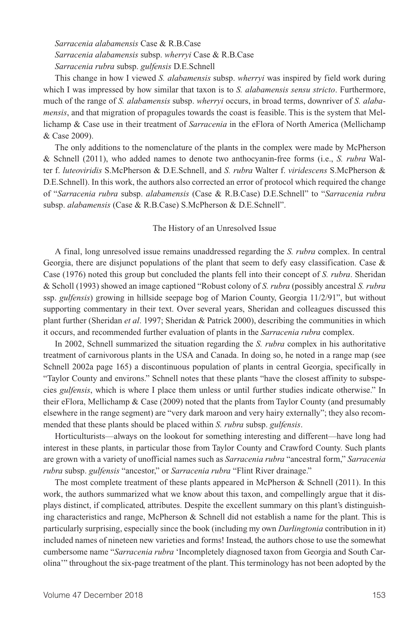*Sarracenia alabamensis* Case & R.B.Case *Sarracenia alabamensis* subsp. *wherryi* Case & R.B.Case *Sarracenia rubra* subsp. *gulfensis* D.E.Schnell

This change in how I viewed *S. alabamensis* subsp. *wherryi* was inspired by field work during which I was impressed by how similar that taxon is to *S. alabamensis sensu stricto*. Furthermore, much of the range of *S. alabamensis* subsp. *wherryi* occurs, in broad terms, downriver of *S. alabamensis*, and that migration of propagules towards the coast is feasible. This is the system that Mellichamp & Case use in their treatment of *Sarracenia* in the eFlora of North America (Mellichamp & Case 2009).

The only additions to the nomenclature of the plants in the complex were made by McPherson & Schnell (2011), who added names to denote two anthocyanin-free forms (i.e., *S. rubra* Walter f. *luteoviridis* S.McPherson & D.E.Schnell, and *S. rubra* Walter f. *viridescens* S.McPherson & D.E.Schnell). In this work, the authors also corrected an error of protocol which required the change of "*Sarracenia rubra* subsp. *alabamensis* (Case & R.B.Case) D.E.Schnell" to "*Sarracenia rubra* subsp. *alabamensis* (Case & R.B.Case) S.McPherson & D.E.Schnell".

#### The History of an Unresolved Issue

A final, long unresolved issue remains unaddressed regarding the *S. rubra* complex. In central Georgia, there are disjunct populations of the plant that seem to defy easy classification. Case  $\&$ Case (1976) noted this group but concluded the plants fell into their concept of *S. rubra*. Sheridan & Scholl (1993) showed an image captioned "Robust colony of *S. rubra* (possibly ancestral *S. rubra* ssp. *gulfensis*) growing in hillside seepage bog of Marion County, Georgia 11/2/91", but without supporting commentary in their text. Over several years, Sheridan and colleagues discussed this plant further (Sheridan *et al*. 1997; Sheridan & Patrick 2000), describing the communities in which it occurs, and recommended further evaluation of plants in the *Sarracenia rubra* complex.

In 2002, Schnell summarized the situation regarding the *S. rubra* complex in his authoritative treatment of carnivorous plants in the USA and Canada. In doing so, he noted in a range map (see Schnell 2002a page 165) a discontinuous population of plants in central Georgia, specifically in "Taylor County and environs." Schnell notes that these plants "have the closest affinity to subspecies *gulfensis*, which is where I place them unless or until further studies indicate otherwise." In their eFlora, Mellichamp & Case (2009) noted that the plants from Taylor County (and presumably elsewhere in the range segment) are "very dark maroon and very hairy externally"; they also recommended that these plants should be placed within *S. rubra* subsp. *gulfensis*.

Horticulturists—always on the lookout for something interesting and different—have long had interest in these plants, in particular those from Taylor County and Crawford County. Such plants are grown with a variety of unofficial names such as *Sarracenia rubra* "ancestral form," *Sarracenia rubra* subsp. *gulfensis* "ancestor," or *Sarracenia rubra* "Flint River drainage."

The most complete treatment of these plants appeared in McPherson & Schnell (2011). In this work, the authors summarized what we know about this taxon, and compellingly argue that it displays distinct, if complicated, attributes. Despite the excellent summary on this plant's distinguishing characteristics and range, McPherson & Schnell did not establish a name for the plant. This is particularly surprising, especially since the book (including my own *Darlingtonia* contribution in it) included names of nineteen new varieties and forms! Instead, the authors chose to use the somewhat cumbersome name "*Sarracenia rubra* 'Incompletely diagnosed taxon from Georgia and South Carolina'" throughout the six-page treatment of the plant. This terminology has not been adopted by the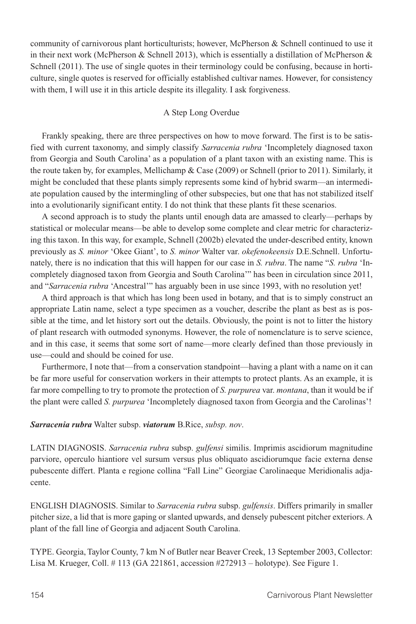community of carnivorous plant horticulturists; however, McPherson & Schnell continued to use it in their next work (McPherson & Schnell 2013), which is essentially a distillation of McPherson  $\&$ Schnell (2011). The use of single quotes in their terminology could be confusing, because in horticulture, single quotes is reserved for officially established cultivar names. However, for consistency with them, I will use it in this article despite its illegality. I ask forgiveness.

## A Step Long Overdue

Frankly speaking, there are three perspectives on how to move forward. The first is to be satisfied with current taxonomy, and simply classify *Sarracenia rubra* 'Incompletely diagnosed taxon from Georgia and South Carolina' as a population of a plant taxon with an existing name. This is the route taken by, for examples, Mellichamp & Case (2009) or Schnell (prior to 2011). Similarly, it might be concluded that these plants simply represents some kind of hybrid swarm—an intermediate population caused by the intermingling of other subspecies, but one that has not stabilized itself into a evolutionarily significant entity. I do not think that these plants fit these scenarios.

A second approach is to study the plants until enough data are amassed to clearly—perhaps by statistical or molecular means—be able to develop some complete and clear metric for characterizing this taxon. In this way, for example, Schnell (2002b) elevated the under-described entity, known previously as *S. minor* 'Okee Giant', to *S. minor* Walter var. *okefenokeensis* D.E.Schnell. Unfortunately, there is no indication that this will happen for our case in *S. rubra*. The name "*S. rubra* 'Incompletely diagnosed taxon from Georgia and South Carolina'" has been in circulation since 2011, and "*Sarracenia rubra* 'Ancestral'" has arguably been in use since 1993, with no resolution yet!

A third approach is that which has long been used in botany, and that is to simply construct an appropriate Latin name, select a type specimen as a voucher, describe the plant as best as is possible at the time, and let history sort out the details. Obviously, the point is not to litter the history of plant research with outmoded synonyms. However, the role of nomenclature is to serve science, and in this case, it seems that some sort of name—more clearly defined than those previously in use—could and should be coined for use.

Furthermore, I note that—from a conservation standpoint—having a plant with a name on it can be far more useful for conservation workers in their attempts to protect plants. As an example, it is far more compelling to try to promote the protection of *S. purpurea* var. *montana*, than it would be if the plant were called *S. purpurea* 'Incompletely diagnosed taxon from Georgia and the Carolinas'!

*Sarracenia rubra* Walter subsp. *viatorum* B.Rice, *subsp. nov*.

LATIN DIAGNOSIS. *Sarracenia rubra* subsp. *gulfensi* similis. Imprimis ascidiorum magnitudine parviore, operculo hiantiore vel sursum versus plus obliquato ascidiorumque facie externa dense pubescente differt. Planta e regione collina "Fall Line" Georgiae Carolinaeque Meridionalis adjacente.

ENGLISH DIAGNOSIS. Similar to *Sarracenia rubra* subsp. *gulfensis*. Differs primarily in smaller pitcher size, a lid that is more gaping or slanted upwards, and densely pubescent pitcher exteriors. A plant of the fall line of Georgia and adjacent South Carolina.

TYPE. Georgia, Taylor County, 7 km N of Butler near Beaver Creek, 13 September 2003, Collector: Lisa M. Krueger, Coll. # 113 (GA 221861, accession #272913 – holotype). See Figure 1.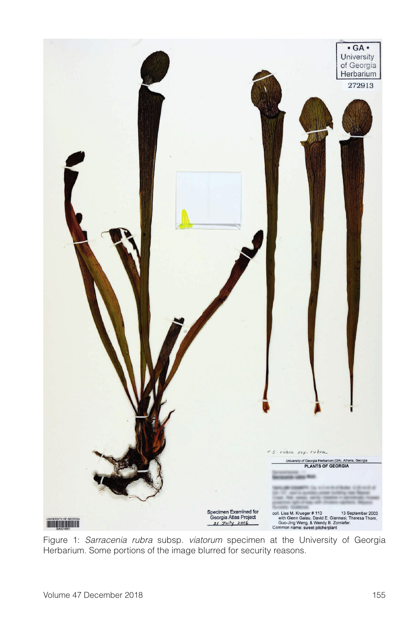

Figure 1: *Sarracenia rubra* subsp. *viatorum* specimen at the University of Georgia Herbarium. Some portions of the image blurred for security reasons.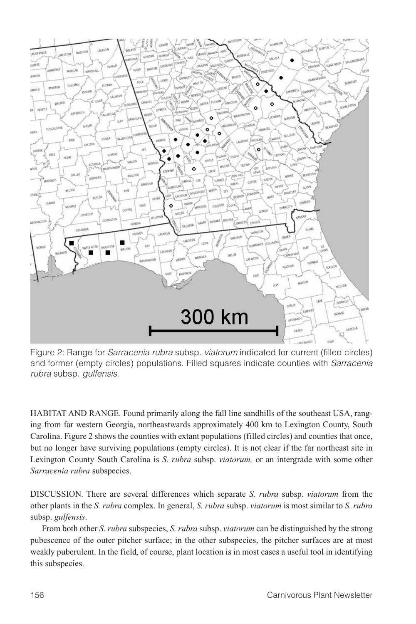

Figure 2: Range for *Sarracenia rubra* subsp. *viatorum* indicated for current (filled circles) and former (empty circles) populations. Filled squares indicate counties with *Sarracenia rubra* subsp. *gulfensis*.

HABITAT AND RANGE. Found primarily along the fall line sandhills of the southeast USA, ranging from far western Georgia, northeastwards approximately 400 km to Lexington County, South Carolina. Figure 2 shows the counties with extant populations (filled circles) and counties that once, but no longer have surviving populations (empty circles). It is not clear if the far northeast site in Lexington County South Carolina is *S. rubra* subsp. *viatorum,* or an intergrade with some other *Sarracenia rubra* subspecies.

DISCUSSION. There are several differences which separate *S. rubra* subsp. *viatorum* from the other plants in the *S. rubra* complex. In general, *S. rubra* subsp. *viatorum* is most similar to *S. rubra* subsp. *gulfensis*.

From both other *S. rubra* subspecies, *S. rubra* subsp. *viatorum* can be distinguished by the strong pubescence of the outer pitcher surface; in the other subspecies, the pitcher surfaces are at most weakly puberulent. In the field, of course, plant location is in most cases a useful tool in identifying this subspecies.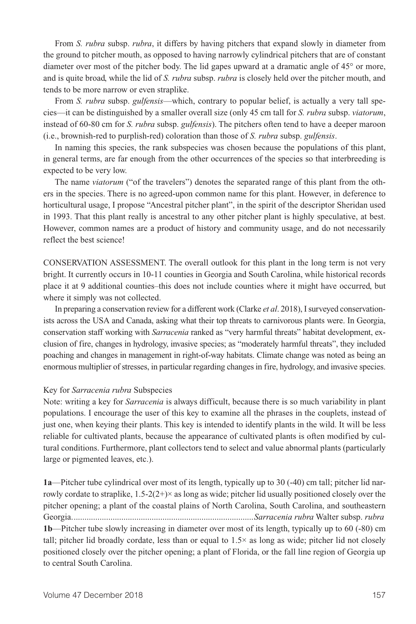From *S. rubra* subsp. *rubra*, it differs by having pitchers that expand slowly in diameter from the ground to pitcher mouth, as opposed to having narrowly cylindrical pitchers that are of constant diameter over most of the pitcher body. The lid gapes upward at a dramatic angle of 45° or more, and is quite broad, while the lid of *S. rubra* subsp. *rubra* is closely held over the pitcher mouth, and tends to be more narrow or even straplike.

From *S. rubra* subsp. *gulfensis*—which, contrary to popular belief, is actually a very tall species—it can be distinguished by a smaller overall size (only 45 cm tall for *S. rubra* subsp. *viatorum*, instead of 60-80 cm for *S. rubra* subsp. *gulfensis*). The pitchers often tend to have a deeper maroon (i.e., brownish-red to purplish-red) coloration than those of *S. rubra* subsp. *gulfensis*.

In naming this species, the rank subspecies was chosen because the populations of this plant, in general terms, are far enough from the other occurrences of the species so that interbreeding is expected to be very low.

The name *viatorum* ("of the travelers") denotes the separated range of this plant from the others in the species. There is no agreed-upon common name for this plant. However, in deference to horticultural usage, I propose "Ancestral pitcher plant", in the spirit of the descriptor Sheridan used in 1993. That this plant really is ancestral to any other pitcher plant is highly speculative, at best. However, common names are a product of history and community usage, and do not necessarily reflect the best science!

CONSERVATION ASSESSMENT. The overall outlook for this plant in the long term is not very bright. It currently occurs in 10-11 counties in Georgia and South Carolina, while historical records place it at 9 additional counties–this does not include counties where it might have occurred, but where it simply was not collected.

In preparing a conservation review for a different work (Clarke *et al*. 2018), I surveyed conservationists across the USA and Canada, asking what their top threats to carnivorous plants were. In Georgia, conservation staff working with *Sarracenia* ranked as "very harmful threats" habitat development, exclusion of fire, changes in hydrology, invasive species; as "moderately harmful threats", they included poaching and changes in management in right-of-way habitats. Climate change was noted as being an enormous multiplier of stresses, in particular regarding changes in fire, hydrology, and invasive species.

#### Key for *Sarracenia rubra* Subspecies

Note: writing a key for *Sarracenia* is always difficult, because there is so much variability in plant populations. I encourage the user of this key to examine all the phrases in the couplets, instead of just one, when keying their plants. This key is intended to identify plants in the wild. It will be less reliable for cultivated plants, because the appearance of cultivated plants is often modified by cultural conditions. Furthermore, plant collectors tend to select and value abnormal plants (particularly large or pigmented leaves, etc.).

**1a**—Pitcher tube cylindrical over most of its length, typically up to 30 (-40) cm tall; pitcher lid narrowly cordate to straplike,  $1.5-2(2+) \times$  as long as wide; pitcher lid usually positioned closely over the pitcher opening; a plant of the coastal plains of North Carolina, South Carolina, and southeastern Georgia....................................................................................*Sarracenia rubra* Walter subsp. *rubra* **1b**—Pitcher tube slowly increasing in diameter over most of its length, typically up to 60 (-80) cm tall; pitcher lid broadly cordate, less than or equal to  $1.5\times$  as long as wide; pitcher lid not closely positioned closely over the pitcher opening; a plant of Florida, or the fall line region of Georgia up to central South Carolina.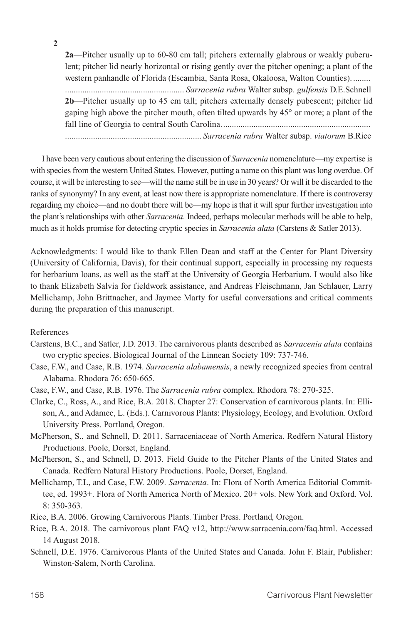**2**

**2a**—Pitcher usually up to 60-80 cm tall; pitchers externally glabrous or weakly puberulent; pitcher lid nearly horizontal or rising gently over the pitcher opening; a plant of the western panhandle of Florida (Escambia, Santa Rosa, Okaloosa, Walton Counties). ........ ....................................................... *Sarracenia rubra* Walter subsp. *gulfensis* D.E.Schnell **2b**—Pitcher usually up to 45 cm tall; pitchers externally densely pubescent; pitcher lid gaping high above the pitcher mouth, often tilted upwards by 45° or more; a plant of the fall line of Georgia to central South Carolina..................................................................... ............................................................... *Sarracenia rubra* Walter subsp. *viatorum* B.Rice

I have been very cautious about entering the discussion of *Sarracenia* nomenclature—my expertise is with species from the western United States. However, putting a name on this plant was long overdue. Of course, it will be interesting to see—will the name still be in use in 30 years? Or will it be discarded to the ranks of synonymy? In any event, at least now there is appropriate nomenclature. If there is controversy regarding my choice—and no doubt there will be—my hope is that it will spur further investigation into the plant's relationships with other *Sarracenia*. Indeed, perhaps molecular methods will be able to help, much as it holds promise for detecting cryptic species in *Sarracenia alata* (Carstens & Satler 2013).

Acknowledgments: I would like to thank Ellen Dean and staff at the Center for Plant Diversity (University of California, Davis), for their continual support, especially in processing my requests for herbarium loans, as well as the staff at the University of Georgia Herbarium. I would also like to thank Elizabeth Salvia for fieldwork assistance, and Andreas Fleischmann, Jan Schlauer, Larry Mellichamp, John Brittnacher, and Jaymee Marty for useful conversations and critical comments during the preparation of this manuscript.

#### References

- Carstens, B.C., and Satler, J.D. 2013. The carnivorous plants described as *Sarracenia alata* contains two cryptic species. Biological Journal of the Linnean Society 109: 737-746.
- Case, F.W., and Case, R.B. 1974. *Sarracenia alabamensis*, a newly recognized species from central Alabama. Rhodora 76: 650-665.
- Case, F.W., and Case, R.B. 1976. The *Sarracenia rubra* complex. Rhodora 78: 270-325.
- Clarke, C., Ross, A., and Rice, B.A. 2018. Chapter 27: Conservation of carnivorous plants. In: Ellison, A., and Adamec, L. (Eds.). Carnivorous Plants: Physiology, Ecology, and Evolution. Oxford University Press. Portland, Oregon.
- McPherson, S., and Schnell, D. 2011. Sarraceniaceae of North America. Redfern Natural History Productions. Poole, Dorset, England.
- McPherson, S., and Schnell, D. 2013. Field Guide to the Pitcher Plants of the United States and Canada. Redfern Natural History Productions. Poole, Dorset, England.
- Mellichamp, T.L, and Case, F.W. 2009. *Sarracenia*. In: Flora of North America Editorial Committee, ed. 1993+. Flora of North America North of Mexico. 20+ vols. New York and Oxford. Vol. 8: 350-363.

Rice, B.A. 2006. Growing Carnivorous Plants. Timber Press. Portland, Oregon.

- Rice, B.A. 2018. The carnivorous plant FAQ v12, http://www.sarracenia.com/faq.html. Accessed 14 August 2018.
- Schnell, D.E. 1976. Carnivorous Plants of the United States and Canada. John F. Blair, Publisher: Winston-Salem, North Carolina.